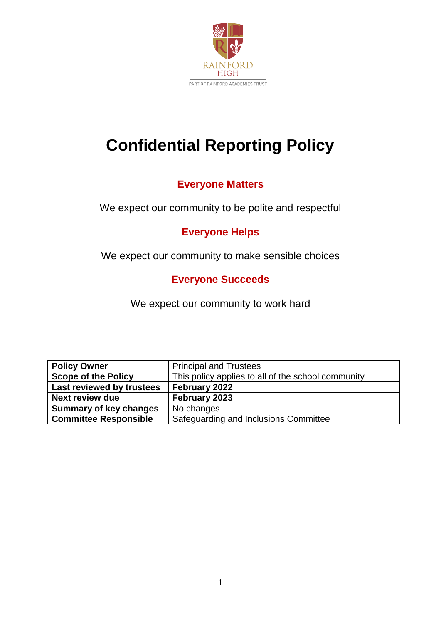

# **Confidential Reporting Policy**

# **Everyone Matters**

We expect our community to be polite and respectful

# **Everyone Helps**

We expect our community to make sensible choices

# **Everyone Succeeds**

We expect our community to work hard

| <b>Policy Owner</b>           | <b>Principal and Trustees</b>                      |
|-------------------------------|----------------------------------------------------|
| <b>Scope of the Policy</b>    | This policy applies to all of the school community |
| Last reviewed by trustees     | February 2022                                      |
| <b>Next review due</b>        | February 2023                                      |
| <b>Summary of key changes</b> | No changes                                         |
| <b>Committee Responsible</b>  | Safeguarding and Inclusions Committee              |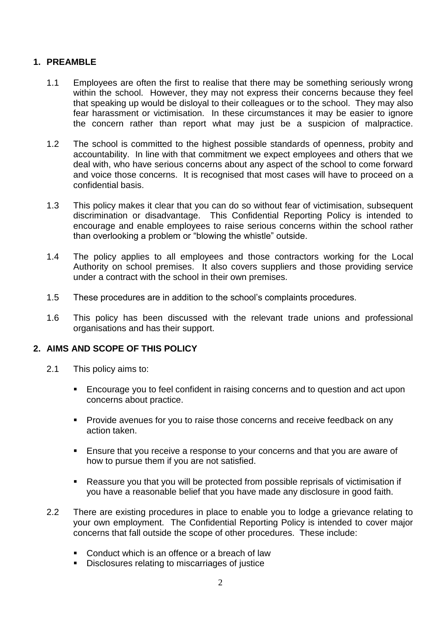# **1. PREAMBLE**

- 1.1 Employees are often the first to realise that there may be something seriously wrong within the school. However, they may not express their concerns because they feel that speaking up would be disloyal to their colleagues or to the school. They may also fear harassment or victimisation. In these circumstances it may be easier to ignore the concern rather than report what may just be a suspicion of malpractice.
- 1.2 The school is committed to the highest possible standards of openness, probity and accountability. In line with that commitment we expect employees and others that we deal with, who have serious concerns about any aspect of the school to come forward and voice those concerns. It is recognised that most cases will have to proceed on a confidential basis.
- 1.3 This policy makes it clear that you can do so without fear of victimisation, subsequent discrimination or disadvantage. This Confidential Reporting Policy is intended to encourage and enable employees to raise serious concerns within the school rather than overlooking a problem or "blowing the whistle" outside.
- 1.4 The policy applies to all employees and those contractors working for the Local Authority on school premises. It also covers suppliers and those providing service under a contract with the school in their own premises.
- 1.5 These procedures are in addition to the school's complaints procedures.
- 1.6 This policy has been discussed with the relevant trade unions and professional organisations and has their support.

# **2. AIMS AND SCOPE OF THIS POLICY**

- 2.1 This policy aims to:
	- **Encourage you to feel confident in raising concerns and to question and act upon** concerns about practice.
	- Provide avenues for you to raise those concerns and receive feedback on any action taken.
	- Ensure that you receive a response to your concerns and that you are aware of how to pursue them if you are not satisfied.
	- Reassure you that you will be protected from possible reprisals of victimisation if you have a reasonable belief that you have made any disclosure in good faith.
- 2.2 There are existing procedures in place to enable you to lodge a grievance relating to your own employment. The Confidential Reporting Policy is intended to cover major concerns that fall outside the scope of other procedures. These include:
	- Conduct which is an offence or a breach of law
	- Disclosures relating to miscarriages of justice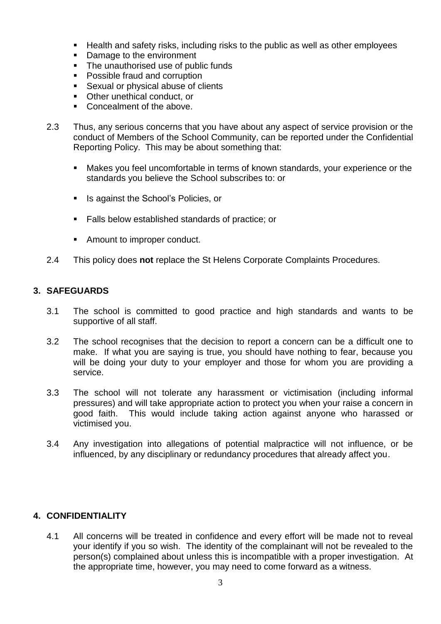- Health and safety risks, including risks to the public as well as other employees
- Damage to the environment
- The unauthorised use of public funds
- Possible fraud and corruption
- Sexual or physical abuse of clients
- Other unethical conduct, or
- Concealment of the above.
- 2.3 Thus, any serious concerns that you have about any aspect of service provision or the conduct of Members of the School Community, can be reported under the Confidential Reporting Policy. This may be about something that:
	- Makes you feel uncomfortable in terms of known standards, your experience or the standards you believe the School subscribes to: or
	- Is against the School's Policies, or
	- Falls below established standards of practice; or
	- Amount to improper conduct.
- 2.4 This policy does **not** replace the St Helens Corporate Complaints Procedures.

#### **3. SAFEGUARDS**

- 3.1 The school is committed to good practice and high standards and wants to be supportive of all staff.
- 3.2 The school recognises that the decision to report a concern can be a difficult one to make. If what you are saying is true, you should have nothing to fear, because you will be doing your duty to your employer and those for whom you are providing a service.
- 3.3 The school will not tolerate any harassment or victimisation (including informal pressures) and will take appropriate action to protect you when your raise a concern in good faith. This would include taking action against anyone who harassed or victimised you.
- 3.4 Any investigation into allegations of potential malpractice will not influence, or be influenced, by any disciplinary or redundancy procedures that already affect you.

#### **4. CONFIDENTIALITY**

4.1 All concerns will be treated in confidence and every effort will be made not to reveal your identify if you so wish. The identity of the complainant will not be revealed to the person(s) complained about unless this is incompatible with a proper investigation. At the appropriate time, however, you may need to come forward as a witness.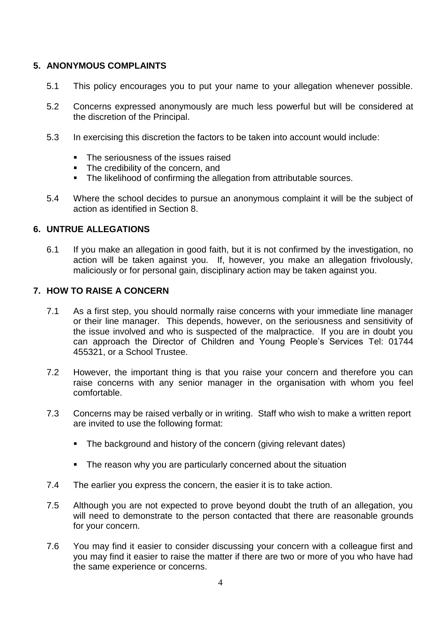# **5. ANONYMOUS COMPLAINTS**

- 5.1 This policy encourages you to put your name to your allegation whenever possible.
- 5.2 Concerns expressed anonymously are much less powerful but will be considered at the discretion of the Principal.
- 5.3 In exercising this discretion the factors to be taken into account would include:
	- The seriousness of the issues raised
	- The credibility of the concern, and
	- The likelihood of confirming the allegation from attributable sources.
- 5.4 Where the school decides to pursue an anonymous complaint it will be the subject of action as identified in Section 8.

#### **6. UNTRUE ALLEGATIONS**

6.1 If you make an allegation in good faith, but it is not confirmed by the investigation, no action will be taken against you. If, however, you make an allegation frivolously, maliciously or for personal gain, disciplinary action may be taken against you.

#### **7. HOW TO RAISE A CONCERN**

- 7.1 As a first step, you should normally raise concerns with your immediate line manager or their line manager. This depends, however, on the seriousness and sensitivity of the issue involved and who is suspected of the malpractice. If you are in doubt you can approach the Director of Children and Young People's Services Tel: 01744 455321, or a School Trustee.
- 7.2 However, the important thing is that you raise your concern and therefore you can raise concerns with any senior manager in the organisation with whom you feel comfortable.
- 7.3 Concerns may be raised verbally or in writing. Staff who wish to make a written report are invited to use the following format:
	- The background and history of the concern (giving relevant dates)
	- **EXTE:** The reason why you are particularly concerned about the situation
- 7.4 The earlier you express the concern, the easier it is to take action.
- 7.5 Although you are not expected to prove beyond doubt the truth of an allegation, you will need to demonstrate to the person contacted that there are reasonable grounds for your concern.
- 7.6 You may find it easier to consider discussing your concern with a colleague first and you may find it easier to raise the matter if there are two or more of you who have had the same experience or concerns.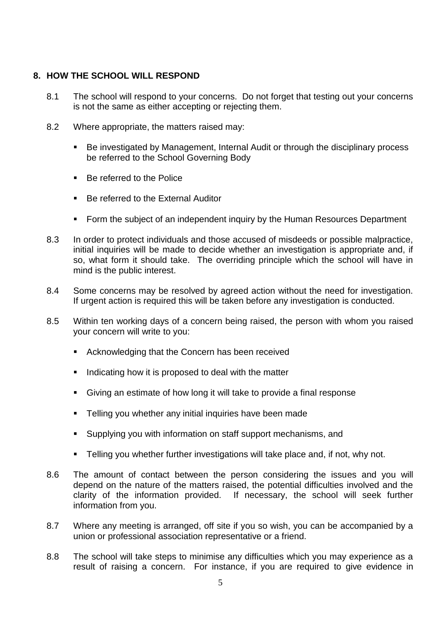## **8. HOW THE SCHOOL WILL RESPOND**

- 8.1 The school will respond to your concerns. Do not forget that testing out your concerns is not the same as either accepting or rejecting them.
- 8.2 Where appropriate, the matters raised may:
	- Be investigated by Management, Internal Audit or through the disciplinary process be referred to the School Governing Body
	- Be referred to the Police
	- Be referred to the External Auditor
	- Form the subject of an independent inquiry by the Human Resources Department
- 8.3 In order to protect individuals and those accused of misdeeds or possible malpractice, initial inquiries will be made to decide whether an investigation is appropriate and, if so, what form it should take. The overriding principle which the school will have in mind is the public interest.
- 8.4 Some concerns may be resolved by agreed action without the need for investigation. If urgent action is required this will be taken before any investigation is conducted.
- 8.5 Within ten working days of a concern being raised, the person with whom you raised your concern will write to you:
	- Acknowledging that the Concern has been received
	- Indicating how it is proposed to deal with the matter
	- Giving an estimate of how long it will take to provide a final response
	- Telling you whether any initial inquiries have been made
	- Supplying you with information on staff support mechanisms, and
	- **EXECT** Telling you whether further investigations will take place and, if not, why not.
- 8.6 The amount of contact between the person considering the issues and you will depend on the nature of the matters raised, the potential difficulties involved and the clarity of the information provided. If necessary, the school will seek further information from you.
- 8.7 Where any meeting is arranged, off site if you so wish, you can be accompanied by a union or professional association representative or a friend.
- 8.8 The school will take steps to minimise any difficulties which you may experience as a result of raising a concern. For instance, if you are required to give evidence in